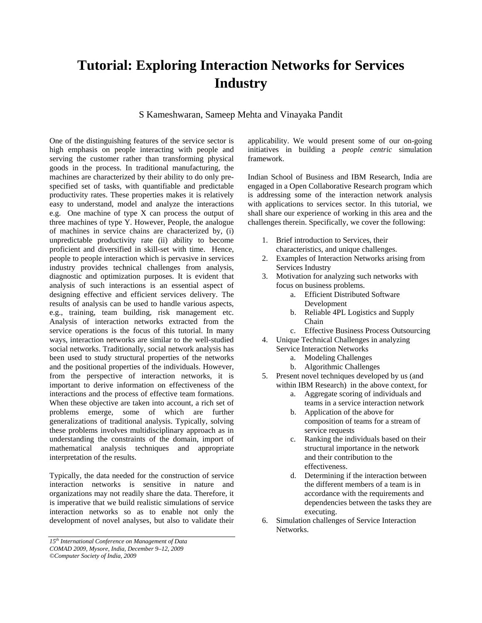## **Tutorial: Exploring Interaction Networks for Services Industry**

S Kameshwaran, Sameep Mehta and Vinayaka Pandit

One of the distinguishing features of the service sector is high emphasis on people interacting with people and serving the customer rather than transforming physical goods in the process. In traditional manufacturing, the machines are characterized by their ability to do only prespecified set of tasks, with quantifiable and predictable productivity rates. These properties makes it is relatively easy to understand, model and analyze the interactions e.g. One machine of type X can process the output of three machines of type Y. However, People, the analogue of machines in service chains are characterized by, (i) unpredictable productivity rate (ii) ability to become proficient and diversified in skill-set with time. Hence, people to people interaction which is pervasive in services industry provides technical challenges from analysis, diagnostic and optimization purposes. It is evident that analysis of such interactions is an essential aspect of designing effective and efficient services delivery. The results of analysis can be used to handle various aspects, e.g., training, team building, risk management etc. Analysis of interaction networks extracted from the service operations is the focus of this tutorial. In many ways, interaction networks are similar to the well-studied social networks. Traditionally, social network analysis has been used to study structural properties of the networks and the positional properties of the individuals. However, from the perspective of interaction networks, it is important to derive information on effectiveness of the interactions and the process of effective team formations. When these objective are taken into account, a rich set of problems emerge, some of which are further generalizations of traditional analysis. Typically, solving these problems involves multidisciplinary approach as in understanding the constraints of the domain, import of mathematical analysis techniques and appropriate interpretation of the results.

Typically, the data needed for the construction of service interaction networks is sensitive in nature and organizations may not readily share the data. Therefore, it is imperative that we build realistic simulations of service interaction networks so as to enable not only the development of novel analyses, but also to validate their applicability. We would present some of our on-going initiatives in building a *people centric* simulation framework.

Indian School of Business and IBM Research, India are engaged in a Open Collaborative Research program which is addressing some of the interaction network analysis with applications to services sector. In this tutorial, we shall share our experience of working in this area and the challenges therein. Specifically, we cover the following:

- 1. Brief introduction to Services, their characteristics, and unique challenges.
- 2. Examples of Interaction Networks arising from Services Industry
- 3. Motivation for analyzing such networks with focus on business problems.
	- a. Efficient Distributed Software Development
	- b. Reliable 4PL Logistics and Supply Chain
	- c. Effective Business Process Outsourcing
- 4. Unique Technical Challenges in analyzing Service Interaction Networks
	- a. Modeling Challenges
		- b. Algorithmic Challenges
- 5. Present novel techniques developed by us (and within IBM Research) in the above context, for
	- a. Aggregate scoring of individuals and teams in a service interaction network
	- b. Application of the above for composition of teams for a stream of service requests
	- c. Ranking the individuals based on their structural importance in the network and their contribution to the effectiveness.
	- d. Determining if the interaction between the different members of a team is in accordance with the requirements and dependencies between the tasks they are executing.
- 6. Simulation challenges of Service Interaction Networks.

*<sup>15</sup>th International Conference on Management of Data COMAD 2009, Mysore, India, December 9–12, 2009 ©Computer Society of India, 2009*